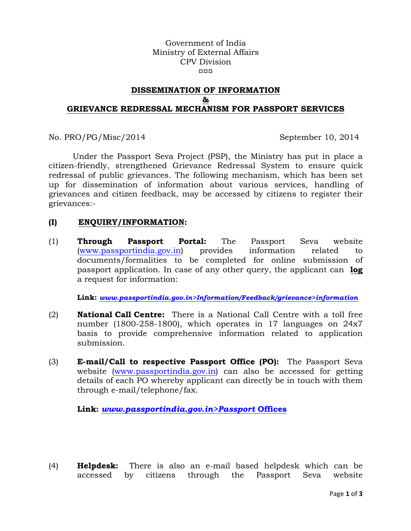Government of India Ministry of External Affairs CPV Division ¤¤¤

## **DISSEMINATION OF INFORMATION & GRIEVANCE REDRESSAL MECHANISM FOR PASSPORT SERVICES**

No. PRO/PG/Misc/2014 September 10, 2014

Under the Passport Seva Project (PSP), the Ministry has put in place a citizen-friendly, strengthened Grievance Redressal System to ensure quick redressal of public grievances. The following mechanism, which has been set up for dissemination of information about various services, handling of grievances and citizen feedback, may be accessed by citizens to register their grievances:-

### **(I) ENQUIRY/INFORMATION:**

(1) **Through Passport Portal:** The Passport Seva website (www.passportindia.gov.in) provides information related to documents/formalities to be completed for online submission of passport application. In case of any other query, the applicant can **log**  a request for information:

**Link:** *www.passportindia.gov.in>Information/Feedback/grievance>information*

- (2) **National Call Centre:** There is a National Call Centre with a toll free number (1800-258-1800), which operates in 17 languages on 24x7 basis to provide comprehensive information related to application submission.
- (3) **E-mail/Call to respective Passport Office (PO):** The Passport Seva website (www.passportindia.gov.in) can also be accessed for getting details of each PO whereby applicant can directly be in touch with them through e-mail/telephone/fax.

**Link:** *www.passportindia.gov.in>Passport* **Offices**

(4) **Helpdesk:** There is also an e-mail based helpdesk which can be accessed by citizens through the Passport Seva website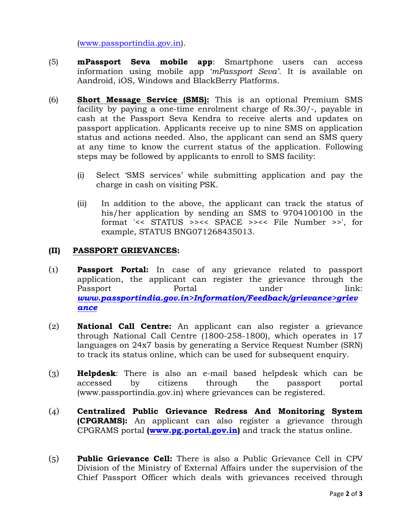(www.passportindia.gov.in).

- (5) **mPassport Seva mobile app**: Smartphone users can access information using mobile app '*mPassport Seva'*. It is available on Aandroid, iOS, Windows and BlackBerry Platforms.
- (6) **Short Message Service (SMS):** This is an optional Premium SMS facility by paying a one-time enrolment charge of Rs.30/-, payable in cash at the Passport Seva Kendra to receive alerts and updates on passport application. Applicants receive up to nine SMS on application status and actions needed. Also, the applicant can send an SMS query at any time to know the current status of the application. Following steps may be followed by applicants to enroll to SMS facility:
	- (i) Select 'SMS services' while submitting application and pay the charge in cash on visiting PSK.
	- (ii) In addition to the above, the applicant can track the status of his/her application by sending an SMS to 9704100100 in the format '<< STATUS >><< SPACE >><< File Number >>', for example, STATUS BNG071268435013.

# **(II) PASSPORT GRIEVANCES:**

- (1) **Passport Portal:** In case of any grievance related to passport application, the applicant can register the grievance through the Passport Portal Portal under link: *www.passportindia.gov.in>Information/Feedback/grievance>griev ance*
- (2) **National Call Centre:** An applicant can also register a grievance through National Call Centre (1800-258-1800), which operates in 17 languages on 24x7 basis by generating a Service Request Number (SRN) to track its status online, which can be used for subsequent enquiry.
- (3) **Helpdesk**: There is also an e-mail based helpdesk which can be accessed by citizens through the passport portal (www.passportindia.gov.in) where grievances can be registered.
- (4) **Centralized Public Grievance Redress And Monitoring System (CPGRAMS):** An applicant can also register a grievance through CPGRAMS portal **(www.pg.portal.gov.in)** and track the status online.
- (5) **Public Grievance Cell:** There is also a Public Grievance Cell in CPV Division of the Ministry of External Affairs under the supervision of the Chief Passport Officer which deals with grievances received through